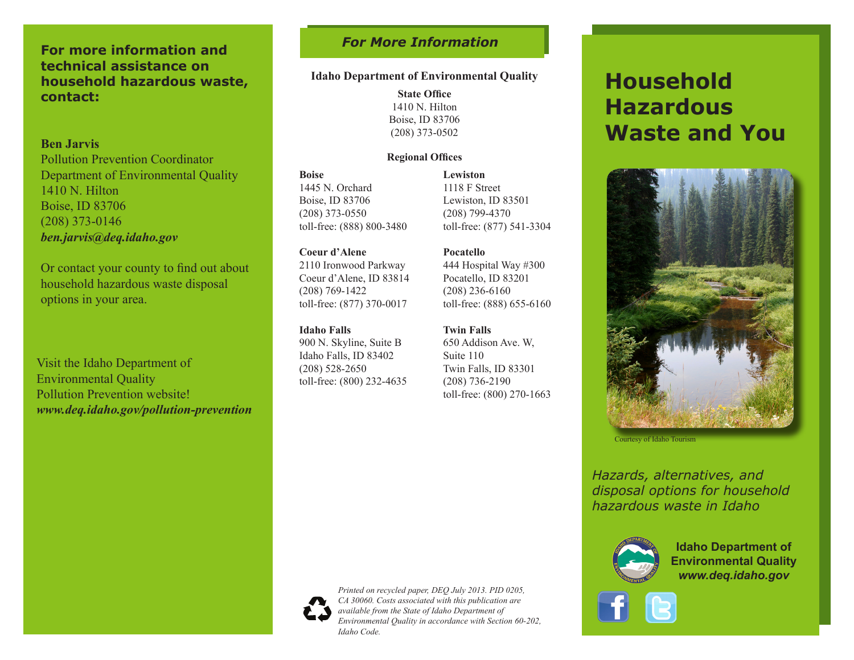## **For more information and technical assistance on household hazardous waste, contact:**

### **Ben Jarvis**

Pollution Prevention Coordinator Department of Environmental Quality 1410 N. Hilton Boise, ID 83706 (208) 373-0146 *ben.jarvis@deq.idaho.gov*

Or contact your county to find out about household hazardous waste disposal options in your area.

Visit the Idaho Department of Environmental Quality Pollution Prevention website! *www.deq.idaho.gov/pollution-prevention*

# *For More Information*

### **Idaho Department of Environmental Quality**

**State Office** 1410 N. Hilton Boise, ID 83706 (208) 373-0502

#### **Regional Offices**

**Boise**  1445 N. Orchard Boise, ID 83706 (208) 373-0550 toll-free: (888) 800-3480

**Coeur d'Alene** 2110 Ironwood Parkway Coeur d'Alene, ID 83814 (208) 769-1422

toll-free: (877) 370-0017

**Idaho Falls** 

900 N. Skyline, Suite B Idaho Falls, ID 83402 (208) 528-2650 toll-free: (800) 232-4635 **Lewiston** 1118 F Street Lewiston, ID 83501 (208) 799-4370 toll-free: (877) 541-3304

# **Pocatello**

444 Hospital Way #300 Pocatello, ID 83201 (208) 236-6160 toll-free: (888) 655-6160

**Twin Falls**  650 Addison Ave. W, Suite 110 Twin Falls, ID 83301 (208) 736-2190 toll-free: (800) 270-1663

# **Household Hazardous Waste and You**



Courtesy of Idaho Tourism

*Hazards, alternatives, and disposal options for household hazardous waste in Idaho*



**Idaho Department of Environmental Quality** *www.deq.idaho.gov*





*Printed on recycled paper, DEQ July 2013. PID 0205, CA 30060. Costs associated with this publication are available from the State of Idaho Department of Environmental Quality in accordance with Section 60-202, Idaho Code.*